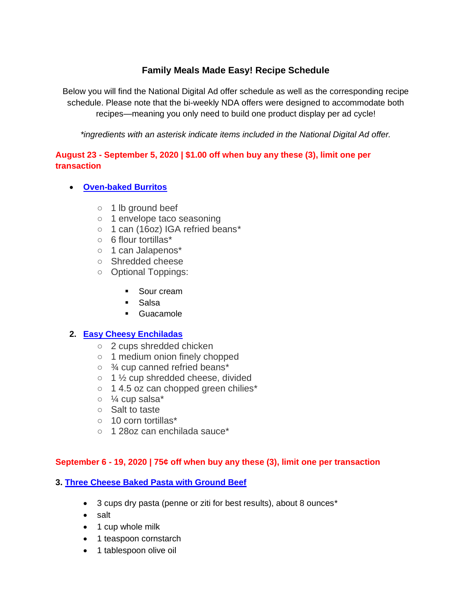# **Family Meals Made Easy! Recipe Schedule**

Below you will find the National Digital Ad offer schedule as well as the corresponding recipe schedule. Please note that the bi-weekly NDA offers were designed to accommodate both recipes—meaning you only need to build one product display per ad cycle!

*\*ingredients with an asterisk indicate items included in the National Digital Ad offer.*

## **August 23 - September 5, 2020 | \$1.00 off when buy any these (3), limit one per transaction**

- **[Oven-baked](https://www.iga.com/shopper-solutions/oven-baked-burritos?hs_preview=fMtqfQLb-32401656635) Burritos**
	- 1 lb ground beef
	- 1 envelope taco seasoning
	- o 1 can (16oz) IGA refried beans\*
	- 6 flour tortillas\*
	- 1 can Jalapenos\*
	- Shredded cheese
	- Optional Toppings:
		- Sour cream
		- **Salsa**
		- **Guacamole**

### **2. [Easy Cheesy Enchiladas](https://www.iga.com/shopper-solutions/simple-meals-for-busy-days)**

- 2 cups shredded chicken
- 1 medium onion finely chopped
- ¾ cup canned refried beans\*
- $\circ$  1  $\frac{1}{2}$  cup shredded cheese, divided
- 1 4.5 oz can chopped green chilies\*
- $\circ$   $\frac{1}{4}$  cup salsa\*
- Salt to taste
- 10 corn tortillas\*
- 1 28oz can enchilada sauce\*

### **September 6 - 19, 2020 | 75¢ off when buy any these (3), limit one per transaction**

### **3. [Three Cheese Baked Pasta with Ground Beef](https://www.iga.com/shopper-solutions/three-cheese-baked-ziti-with-ground-beef)**

- 3 cups dry pasta (penne or ziti for best results), about 8 ounces\*
- salt
- 1 cup whole milk
- 1 teaspoon cornstarch
- 1 tablespoon olive oil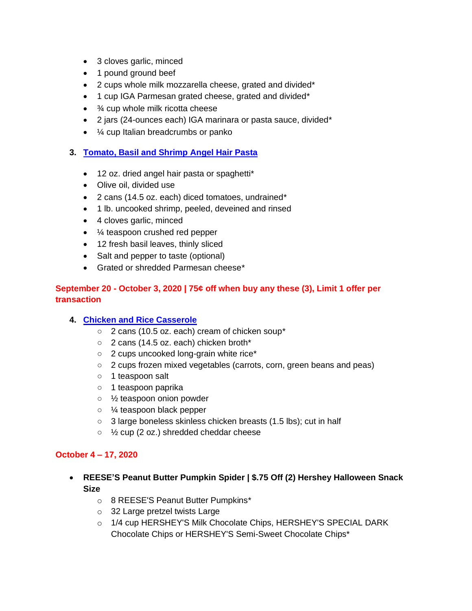- 3 cloves garlic, minced
- 1 pound ground beef
- 2 cups whole milk mozzarella cheese, grated and divided\*
- 1 cup IGA Parmesan grated cheese, grated and divided\*
- $\bullet$   $\frac{3}{4}$  cup whole milk ricotta cheese
- 2 jars (24-ounces each) IGA marinara or pasta sauce, divided\*
- $\frac{1}{4}$  cup Italian breadcrumbs or panko

#### **3. [Tomato, Basil and Shrimp Angel Hair Pasta](https://www.iga.com/shopper-solutions/tomato-basil-and-shrimp-angel-hair-past?hs_preview=zUKzSsLg-33297299279)**

- 12 oz. dried angel hair pasta or spaghetti\*
- Olive oil, divided use
- 2 cans (14.5 oz. each) diced tomatoes, undrained\*
- 1 lb. uncooked shrimp, peeled, deveined and rinsed
- 4 cloves garlic, minced
- $\frac{1}{4}$  teaspoon crushed red pepper
- 12 fresh basil leaves, thinly sliced
- Salt and pepper to taste (optional)
- Grated or shredded Parmesan cheese\*

### **September 20 - October 3, 2020 | 75¢ off when buy any these (3), Limit 1 offer per transaction**

### **4. [Chicken and Rice Casserole](https://www.iga.com/shopper-solutions/chicken-and-rice-casserole?hs_preview=CoytjhSQ-32439451901)**

- 2 cans (10.5 oz. each) cream of chicken soup\*
- 2 cans (14.5 oz. each) chicken broth\*
- 2 cups uncooked long-grain white rice\*
- 2 cups frozen mixed vegetables (carrots, corn, green beans and peas)
- 1 teaspoon salt
- 1 teaspoon paprika
- ½ teaspoon onion powder
- ¼ teaspoon black pepper
- 3 large boneless skinless chicken breasts (1.5 lbs); cut in half
- ½ cup (2 oz.) shredded cheddar cheese

#### **October 4 – 17, 2020**

- **REESE'S Peanut Butter Pumpkin Spider | \$.75 Off (2) Hershey Halloween Snack Size**
	- o 8 REESE'S Peanut Butter Pumpkins\*
	- o 32 Large pretzel twists Large
	- o 1/4 cup HERSHEY'S Milk Chocolate Chips, HERSHEY'S SPECIAL DARK Chocolate Chips or HERSHEY'S Semi-Sweet Chocolate Chips\*